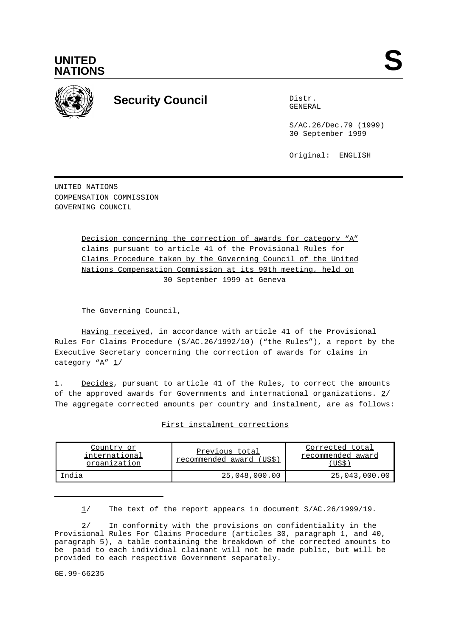



# **Security Council** Distribution Distribution

GENERAL

S/AC.26/Dec.79 (1999) 30 September 1999

Original: ENGLISH

UNITED NATIONS COMPENSATION COMMISSION GOVERNING COUNCIL

> Decision concerning the correction of awards for category "A" claims pursuant to article 41 of the Provisional Rules for Claims Procedure taken by the Governing Council of the United Nations Compensation Commission at its 90th meeting, held on 30 September 1999 at Geneva

The Governing Council,

Having received, in accordance with article 41 of the Provisional Rules For Claims Procedure (S/AC.26/1992/10) ("the Rules"), a report by the Executive Secretary concerning the correction of awards for claims in category "A" 1/

1. Decides, pursuant to article 41 of the Rules, to correct the amounts of the approved awards for Governments and international organizations.  $2/$ The aggregate corrected amounts per country and instalment, are as follows:

|--|

| Country or<br>international<br>organization | Previous total<br>recommended award (US\$) | Corrected total<br>recommended award<br>US\$ |
|---------------------------------------------|--------------------------------------------|----------------------------------------------|
| India                                       | 25,048,000.00                              | 25,043,000.00                                |

 $1/$  The text of the report appears in document  $S/AC.26/1999/19$ .

2/ In conformity with the provisions on confidentiality in the Provisional Rules For Claims Procedure (articles 30, paragraph 1, and 40, paragraph 5), a table containing the breakdown of the corrected amounts to be paid to each individual claimant will not be made public, but will be provided to each respective Government separately.

GE.99-66235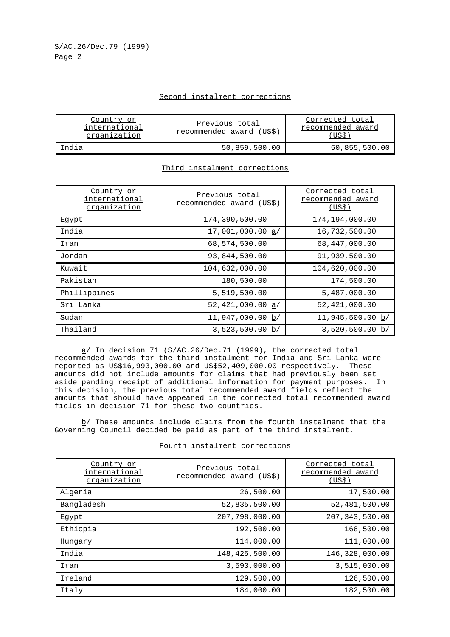### Second instalment corrections

| Country or<br>international<br>organization | Previous total<br>recommended award (US\$) | Corrected total<br>recommended award<br>US\$ |
|---------------------------------------------|--------------------------------------------|----------------------------------------------|
| Tndia                                       | 50,859,500.00                              | 50,855,500.00                                |

# Third instalment corrections

| Country or<br>international<br>organization | Previous total<br>recommended award (US\$) | Corrected total<br>recommended award<br>(US\$) |
|---------------------------------------------|--------------------------------------------|------------------------------------------------|
| Eqypt                                       | 174,390,500.00                             | 174,194,000.00                                 |
| India                                       | 17,001,000.00 a/                           | 16,732,500.00                                  |
| Iran                                        | 68,574,500.00                              | 68,447,000.00                                  |
| Jordan                                      | 93,844,500.00                              | 91,939,500.00                                  |
| Kuwait                                      | 104,632,000.00                             | 104,620,000.00                                 |
| Pakistan                                    | 180,500.00                                 | 174,500.00                                     |
| Phillippines                                | 5,519,500.00                               | 5,487,000.00                                   |
| Sri Lanka                                   | 52,421,000.00 a/                           | 52,421,000.00                                  |
| Sudan                                       | 11,947,000.00 b/                           | $11,945,500.00 \underline{b}$                  |
| Thailand                                    | 3,523,500.00 b/                            | 3,520,500.00 b/                                |

a/ In decision 71 (S/AC.26/Dec.71 (1999), the corrected total recommended awards for the third instalment for India and Sri Lanka were reported as US\$16,993,000.00 and US\$52,409,000.00 respectively. These amounts did not include amounts for claims that had previously been set aside pending receipt of additional information for payment purposes. In this decision, the previous total recommended award fields reflect the amounts that should have appeared in the corrected total recommended award fields in decision 71 for these two countries.

 $b$ / These amounts include claims from the fourth instalment that the Governing Council decided be paid as part of the third instalment.

| Country or<br>international<br>organization | Previous total<br>recommended award (US\$) | Corrected total<br>recommended award<br>(US\$) |
|---------------------------------------------|--------------------------------------------|------------------------------------------------|
| Algeria                                     | 26,500.00                                  | 17,500.00                                      |
| Bangladesh                                  | 52,835,500.00                              | 52,481,500.00                                  |
| Egypt                                       | 207,798,000.00                             | 207, 343, 500.00                               |
| Ethiopia                                    | 192,500.00                                 | 168,500.00                                     |
| Hungary                                     | 114,000.00                                 | 111,000.00                                     |
| India                                       | 148,425,500.00                             | 146,328,000.00                                 |
| Iran                                        | 3,593,000.00                               | 3,515,000.00                                   |
| Ireland                                     | 129,500.00                                 | 126,500.00                                     |
| Italy                                       | 184,000.00                                 | 182,500.00                                     |
|                                             |                                            |                                                |

#### Fourth instalment corrections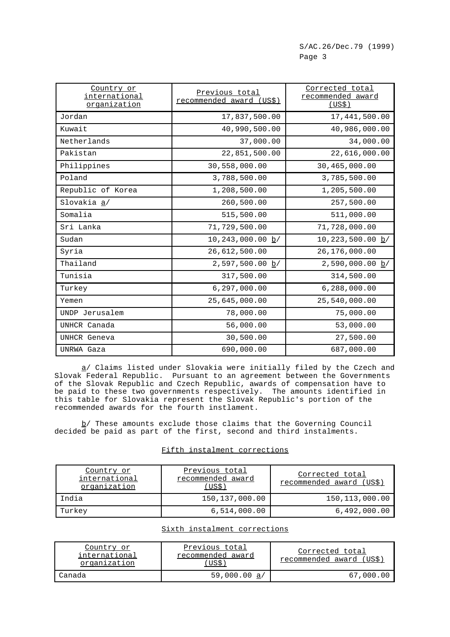| Country or<br>international<br>organization | Previous total<br>recommended award (US\$) | Corrected total<br>recommended award<br><u>(US\$)</u> |
|---------------------------------------------|--------------------------------------------|-------------------------------------------------------|
| Jordan                                      | 17,837,500.00                              | 17,441,500.00                                         |
| Kuwait                                      | 40,990,500.00                              | 40,986,000.00                                         |
| Netherlands                                 | 37,000.00                                  | 34,000.00                                             |
| Pakistan                                    | 22,851,500.00                              | 22,616,000.00                                         |
| Philippines                                 | 30,558,000.00                              | 30,465,000.00                                         |
| Poland                                      | 3,788,500.00                               | 3,785,500.00                                          |
| Republic of Korea                           | 1,208,500.00                               | 1,205,500.00                                          |
| Slovakia a/                                 | 260,500.00                                 | 257,500.00                                            |
| Somalia                                     | 515,500.00                                 | 511,000.00                                            |
| Sri Lanka                                   | 71,729,500.00                              | 71,728,000.00                                         |
| Sudan                                       | $10, 243, 000.00 \underline{b}$            | $10,223,500.00 \underline{b}/$                        |
| Syria                                       | 26,612,500.00                              | 26,176,000.00                                         |
| Thailand                                    | $2,597,500.00 \underline{b}/$              | $2,590,000.00 \underline{b}/$                         |
| Tunisia                                     | 317,500.00                                 | 314,500.00                                            |
| Turkey                                      | 6, 297, 000.00                             | 6, 288, 000.00                                        |
| Yemen                                       | 25,645,000.00                              | 25,540,000.00                                         |
| UNDP Jerusalem                              | 78,000.00                                  | 75,000.00                                             |
| UNHCR Canada                                | 56,000.00                                  | 53,000.00                                             |
| UNHCR Geneva                                | 30,500.00                                  | 27,500.00                                             |
| UNRWA Gaza                                  | 690,000.00                                 | 687,000.00                                            |

 $\underline{a}$  Claims listed under Slovakia were initially filed by the Czech and Slovak Federal Republic. Pursuant to an agreement between the Governments of the Slovak Republic and Czech Republic, awards of compensation have to be paid to these two governments respectively. The amounts identified in this table for Slovakia represent the Slovak Republic's portion of the recommended awards for the fourth instlament.

 $b$  These amounts exclude those claims that the Governing Council decided be paid as part of the first, second and third instalments.

## Fifth instalment corrections

| Country or<br>international<br>organization | Previous total<br>recommended award<br>US\$) | Corrected total<br>recommended award (US\$) |
|---------------------------------------------|----------------------------------------------|---------------------------------------------|
| India                                       | 150, 137, 000.00                             | 150, 113, 000.00                            |
| Turkey                                      | 6,514,000.00                                 | 6,492,000.00                                |

# Sixth instalment corrections

| Country or<br>international<br>organization | Previous total<br>recommended award<br>US\$ | Corrected total<br>recommended award (US\$) |
|---------------------------------------------|---------------------------------------------|---------------------------------------------|
| Canada                                      | 59,000.00 a/                                | 67.000.00                                   |